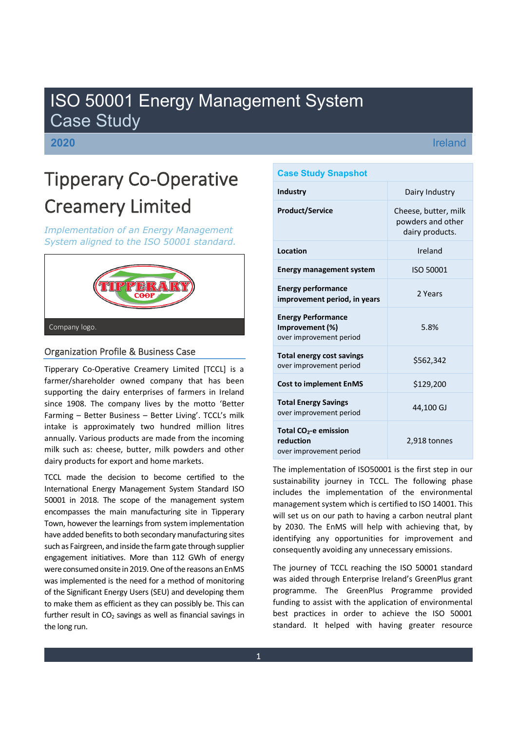# ISO 50001 Energy Management System Case Study

**2020**

# Ireland

# Tipperary Co-Operative Creamery Limited

*Implementation of an Energy Management System aligned to the ISO 50001 standard.*



# Organization Profile & Business Case

Tipperary Co-Operative Creamery Limited [TCCL] is a farmer/shareholder owned company that has been supporting the dairy enterprises of farmers in Ireland since 1908. The company lives by the motto 'Better Farming - Better Business - Better Living'. TCCL's milk intake is approximately two hundred million litres annually. Various products are made from the incoming milk such as: cheese, butter, milk powders and other dairy products for export and home markets.

TCCL made the decision to become certified to the International Energy Management System Standard ISO 50001 in 2018. The scope of the management system encompasses the main manufacturing site in Tipperary Town, however the learnings from system implementation have added benefits to both secondary manufacturing sites such as Fairgreen, and inside the farm gate through supplier engagement initiatives. More than 112 GWh of energy were consumed onsite in 2019. One of the reasons an EnMS was implemented is the need for a method of monitoring of the Significant Energy Users (SEU) and developing them to make them as efficient as they can possibly be. This can further result in  $CO<sub>2</sub>$  savings as well as financial savings in the long run.

| <b>Case Study Snapshot</b>                                                |                                                              |
|---------------------------------------------------------------------------|--------------------------------------------------------------|
| Industry                                                                  | Dairy Industry                                               |
| <b>Product/Service</b>                                                    | Cheese, butter, milk<br>powders and other<br>dairy products. |
| Location                                                                  | Ireland                                                      |
| <b>Energy management system</b>                                           | ISO 50001                                                    |
| <b>Energy performance</b><br>improvement period, in years                 | 2 Years                                                      |
| <b>Energy Performance</b><br>Improvement (%)<br>over improvement period   | 5.8%                                                         |
| <b>Total energy cost savings</b><br>over improvement period               | \$562,342                                                    |
| <b>Cost to implement EnMS</b>                                             | \$129,200                                                    |
| <b>Total Energy Savings</b><br>over improvement period                    | 44,100 GJ                                                    |
| Total CO <sub>2</sub> -e emission<br>reduction<br>over improvement period | 2,918 tonnes                                                 |

The implementation of ISO50001 is the first step in our sustainability journey in TCCL. The following phase includes the implementation of the environmental management system which is certified to ISO 14001. This will set us on our path to having a carbon neutral plant by 2030. The EnMS will help with achieving that, by identifying any opportunities for improvement and consequently avoiding any unnecessary emissions.

The journey of TCCL reaching the ISO 50001 standard was aided through Enterprise Ireland's GreenPlus grant programme. The GreenPlus Programme provided funding to assist with the application of environmental best practices in order to achieve the ISO 50001 standard. It helped with having greater resource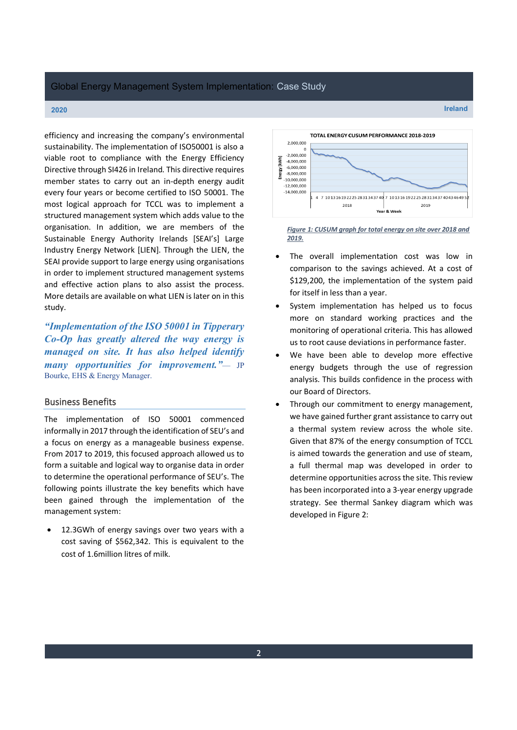#### Global Energy Management System Implementation: Case Study

#### **2020 Ireland**

efficiency and increasing the company's environmental sustainability. The implementation of ISO50001 is also a viable root to compliance with the Energy Efficiency Directive through SI426 in Ireland. This directive requires member states to carry out an in-depth energy audit every four years or become certified to ISO 50001. The most logical approach for TCCL was to implement a structured management system which adds value to the organisation. In addition, we are members of the Sustainable Energy Authority Irelands [SEAI's] Large Industry Energy Network [LIEN]. Through the LIEN, the SEAI provide support to large energy using organisations in order to implement structured management systems and effective action plans to also assist the process. More details are available on what LIEN is later on in this study.

*"Implementation of the ISO 50001 in Tipperary Co-Op has greatly altered the way energy is managed on site. It has also helped identify many opportunities for improvement.*" JP Bourke, EHS & Energy Manager.

#### Business Benefits

The implementation of ISO 50001 commenced informally in 2017 through the identification of SEU's and a focus on energy as a manageable business expense. From 2017 to 2019, this focused approach allowed us to form a suitable and logical way to organise data in order to determine the operational performance of SEU's. The following points illustrate the key benefits which have been gained through the implementation of the management system:

12.3GWh of energy savings over two years with a cost saving of \$562,342. This is equivalent to the cost of 1.6million litres of milk.



*Figure 1: CUSUM graph for total energy on site over 2018 and 2019.*

- The overall implementation cost was low in comparison to the savings achieved. At a cost of \$129,200, the implementation of the system paid for itself in less than a year.
- System implementation has helped us to focus more on standard working practices and the monitoring of operational criteria. This has allowed us to root cause deviations in performance faster.
- We have been able to develop more effective energy budgets through the use of regression analysis. This builds confidence in the process with our Board of Directors.
- Through our commitment to energy management, we have gained further grant assistance to carry out a thermal system review across the whole site. Given that 87% of the energy consumption of TCCL is aimed towards the generation and use of steam, a full thermal map was developed in order to determine opportunities across the site. This review has been incorporated into a 3-year energy upgrade strategy. See thermal Sankey diagram which was developed in Figure 2: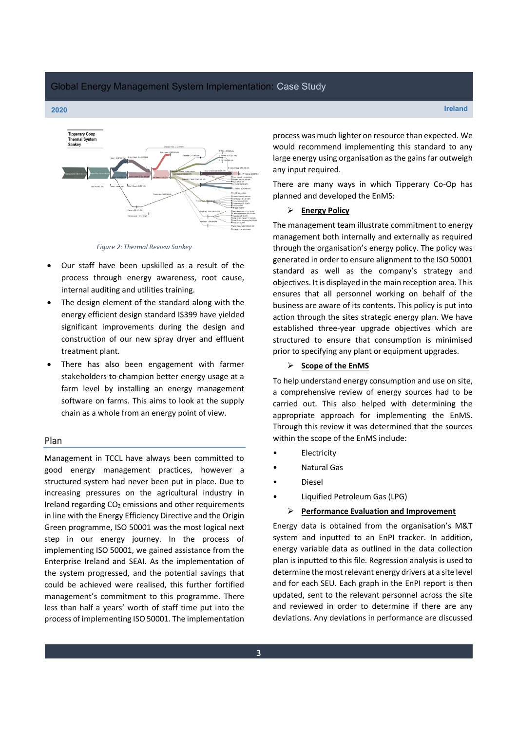#### Global Energy Management System Implementation: Case Study





*Figure 2: Thermal Review Sankey*

- Our staff have been upskilled as a result of the process through energy awareness, root cause, internal auditing and utilities training.
- The design element of the standard along with the energy efficient design standard IS399 have yielded significant improvements during the design and construction of our new spray dryer and effluent treatment plant.
- There has also been engagement with farmer stakeholders to champion better energy usage at a farm level by installing an energy management software on farms. This aims to look at the supply chain as a whole from an energy point of view.

#### Plan

Management in TCCL have always been committed to good energy management practices, however a structured system had never been put in place. Due to increasing pressures on the agricultural industry in Ireland regarding  $CO<sub>2</sub>$  emissions and other requirements in line with the Energy Efficiency Directive and the Origin Green programme, ISO 50001 was the most logical next step in our energy journey. In the process of implementing ISO 50001, we gained assistance from the Enterprise Ireland and SEAI. As the implementation of the system progressed, and the potential savings that could be achieved were realised, this further fortified management's commitment to this programme. There less than half a years' worth of staff time put into the process of implementing ISO 50001. The implementation

**2020 Ireland**

process was much lighter on resource than expected. We would recommend implementing this standard to any large energy using organisation as the gains far outweigh any input required.

There are many ways in which Tipperary Co-Op has planned and developed the EnMS:

#### ¾ **Energy Policy**

The management team illustrate commitment to energy management both internally and externally as required through the organisation's energy policy. The policy was generated in order to ensure alignment to the ISO 50001 standard as well as the company's strategy and objectives. It is displayed in the main reception area. This ensures that all personnel working on behalf of the business are aware of its contents. This policy is put into action through the sites strategic energy plan. We have established three-year upgrade objectives which are structured to ensure that consumption is minimised prior to specifying any plant or equipment upgrades.

### ¾ **Scope of the EnMS**

To help understand energy consumption and use on site, a comprehensive review of energy sources had to be carried out. This also helped with determining the appropriate approach for implementing the EnMS. Through this review it was determined that the sources within the scope of the EnMS include:

- **Electricity**
- ͻ Natural Gas
- Diesel
- Liquified Petroleum Gas (LPG)

#### ¾ **Performance Evaluation and Improvement**

Energy data is obtained from the organisation's M&T system and inputted to an EnPI tracker. In addition, energy variable data as outlined in the data collection plan is inputted to this file. Regression analysis is used to determine the most relevant energy drivers at a site level and for each SEU. Each graph in the EnPI report is then updated, sent to the relevant personnel across the site and reviewed in order to determine if there are any deviations. Any deviations in performance are discussed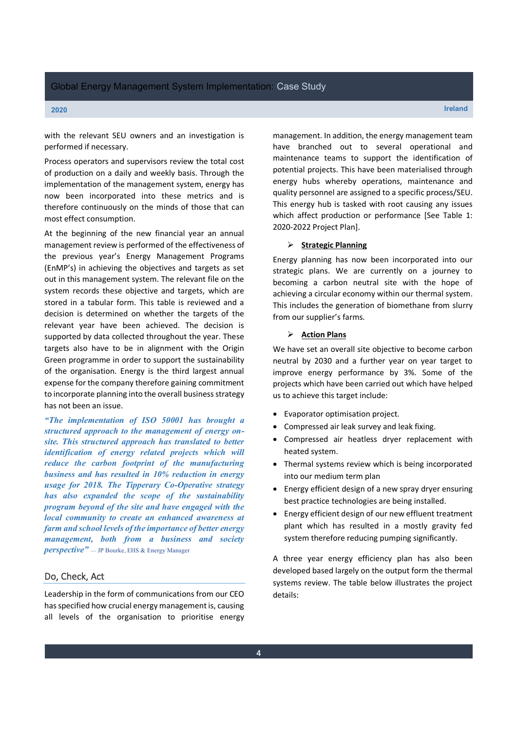**2020 Ireland**

with the relevant SEU owners and an investigation is performed if necessary.

Process operators and supervisors review the total cost of production on a daily and weekly basis. Through the implementation of the management system, energy has now been incorporated into these metrics and is therefore continuously on the minds of those that can most effect consumption.

At the beginning of the new financial year an annual management review is performed of the effectiveness of the previous year's Energy Management Programs (EnMP's) in achieving the objectives and targets as set out in this management system. The relevant file on the system records these objective and targets, which are stored in a tabular form. This table is reviewed and a decision is determined on whether the targets of the relevant year have been achieved. The decision is supported by data collected throughout the year. These targets also have to be in alignment with the Origin Green programme in order to support the sustainability of the organisation. Energy is the third largest annual expense for the company therefore gaining commitment to incorporate planning into the overall business strategy has not been an issue.

*aThe implementation of ISO 50001 has brought a structured approach to the management of energy onsite. This structured approach has translated to better identification of energy related projects which will reduce the carbon footprint of the manufacturing business and has resulted in 10% reduction in energy usage for 2018. The Tipperary Co-Operative strategy has also expanded the scope of the sustainability program beyond of the site and have engaged with the local community to create an enhanced awareness at farm and school levels of the importance of better energy management, both from a business and society perspective*<sup>"</sup> — JP Bourke, EHS & Energy Manager

#### Do, Check, Act

Leadership in the form of communications from our CEO has specified how crucial energy management is, causing all levels of the organisation to prioritise energy management. In addition, the energy management team have branched out to several operational and maintenance teams to support the identification of potential projects. This have been materialised through energy hubs whereby operations, maintenance and quality personnel are assigned to a specific process/SEU. This energy hub is tasked with root causing any issues which affect production or performance [See Table 1: 2020-2022 Project Plan].

#### ¾ **Strategic Planning**

Energy planning has now been incorporated into our strategic plans. We are currently on a journey to becoming a carbon neutral site with the hope of achieving a circular economy within our thermal system. This includes the generation of biomethane from slurry from our supplier's farms.

#### ¾ **Action Plans**

We have set an overall site objective to become carbon neutral by 2030 and a further year on year target to improve energy performance by 3%. Some of the projects which have been carried out which have helped us to achieve this target include:

- Evaporator optimisation project.
- Compressed air leak survey and leak fixing.
- Compressed air heatless dryer replacement with heated system.
- Thermal systems review which is being incorporated into our medium term plan
- Energy efficient design of a new spray dryer ensuring best practice technologies are being installed.
- Energy efficient design of our new effluent treatment plant which has resulted in a mostly gravity fed system therefore reducing pumping significantly.

A three year energy efficiency plan has also been developed based largely on the output form the thermal systems review. The table below illustrates the project details: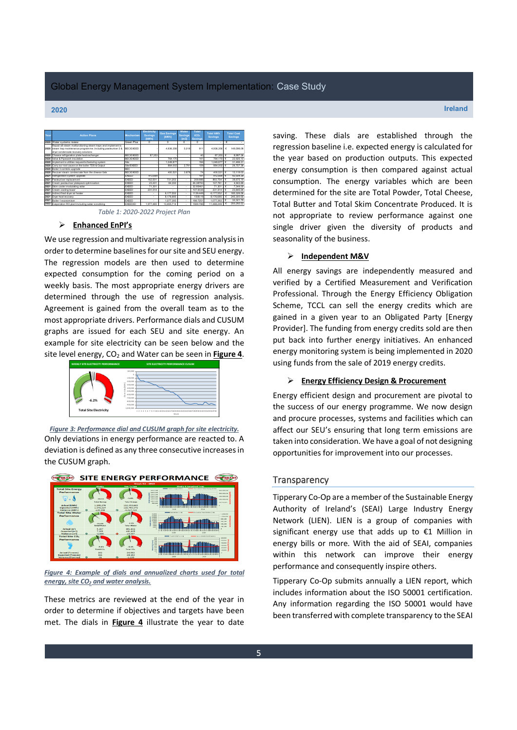**Year Action Plans Mechanism Savings [kWh] [kWh] Water Savings [m3] tCO<sub>2</sub> Savings Total kWh Total Cost Savings 2020 Water systems review Green Plus | 0 0 - € -2020** Repair all steam malfunctioning steam traps and implement a steam trap maintenance programme. Including pasteuriser 2 & dryer condensate recovery solutions BEC/EXEED | 4,936,356 5,018 911 4,936,356 € 149,596.08 **2020** Cheese refrigeration plate heat exchanger BEC/EXEED 87,353 - - 40 87,353 € 8,997.36 **2020** Valve & Pipework insulation BEC/EXEED - 764,170 - 141 764,170 ¼ **2020** Implement a utilities request/scheduling system Site | 1,049,877 - 194 1,049,877 € 31,496.31 **2020** Carry our root cause on the boiler TDS & Output Site/EXEED - 864,002 2,791 159 864,002 € 26,757.36 **2020** Boiler 3 controls upgrade BEC **2020** Recover steam condesnate from the cheese Vats BEC/EXEED - 400,521 3,678 74 400,521 ¼ **2021 Refrigeration system upgrade EXEED EXEED 412,664 - 191 412,664 € 42,504.39 2021** Pasteuriser replacement EXEED 162,501 731,253 - 209.986 893,754 ¼ **2021** Cream pasteuriser platepack optimisation **EXEED** 23,431 84,350 26.38793 107,781 € 4,943.89 **2021 Skim cooler modulating valve EXEED EXEED 71,301 | - | - | 32.95461 71,301 |€ 7,344.00 2021** Cream cooling tower **EXEED** EXEED 231,514 - 107.0035 231,514 € 23,845.94 **2021** Indirect fired dryer air heater Fired Control EXEED - Fired Control Control + 6,177,552 - 1139.449 6,177,552 € 185,326.56 **2021 Dryer heat recovery Conserved EXEED - 8,176,685 - 1508.19 8,176,685 € 245,300.55 2021 Boiler 1 economiser EXEED 1,077,393 198.7251 1,077,393 1 € 32,321.79 2022** Evaporation RO plant including water scrubbing EXEED/EI - 1,977,465 13,465,714 - 1569.786 11,488,249 ¼

*Table 1: 2020-2022 Project Plan*

#### $\triangleright$  **Enhanced EnPI's**

We use regression and multivariate regression analysis in order to determine baselines for our site and SEU energy. The regression models are then used to determine expected consumption for the coming period on a weekly basis. The most appropriate energy drivers are determined through the use of regression analysis. Agreement is gained from the overall team as to the most appropriate drivers. Performance dials and CUSUM graphs are issued for each SEU and site energy. An example for site electricity can be seen below and the site level energy, CO<sub>2</sub> and Water can be seen in **Figure 4**.



*Figure 3: Performance dial and CUSUM graph for site electricity.* Only deviations in energy performance are reacted to. A deviation is defined as any three consecutive increases in the CUSUM graph.



*Figure 4: Example of dials and annualized charts used for total energy, site CO2 and water analysis.*

These metrics are reviewed at the end of the year in order to determine if objectives and targets have been met. The dials in **Figure 4** illustrate the year to date

**2020 Ireland**

saving. These dials are established through the regression baseline i.e. expected energy is calculated for the year based on production outputs. This expected energy consumption is then compared against actual consumption. The energy variables which are been determined for the site are Total Powder, Total Cheese, Total Butter and Total Skim Concentrate Produced. It is not appropriate to review performance against one single driver given the diversity of products and seasonality of the business.

#### ¾ **Independent M&V**

All energy savings are independently measured and verified by a Certified Measurement and Verification Professional. Through the Energy Efficiency Obligation Scheme, TCCL can sell the energy credits which are gained in a given year to an Obligated Party [Energy Provider]. The funding from energy credits sold are then put back into further energy initiatives. An enhanced energy monitoring system is being implemented in 2020 using funds from the sale of 2019 energy credits.

#### ¾ **Energy Efficiency Design & Procurement**

Energy efficient design and procurement are pivotal to the success of our energy programme. We now design and procure processes, systems and facilities which can affect our SEU's ensuring that long term emissions are taken into consideration. We have a goal of not designing opportunities for improvement into our processes.

#### **Transparency**

Tipperary Co-Op are a member of the Sustainable Energy Authority of Ireland's (SEAI) Large Industry Energy Network (LIEN). LIEN is a group of companies with significant energy use that adds up to €1 Million in energy bills or more. With the aid of SEAI, companies within this network can improve their energy performance and consequently inspire others.

Tipperary Co-Op submits annually a LIEN report, which includes information about the ISO 50001 certification. Any information regarding the ISO 50001 would have been transferred with complete transparency to the SEAI